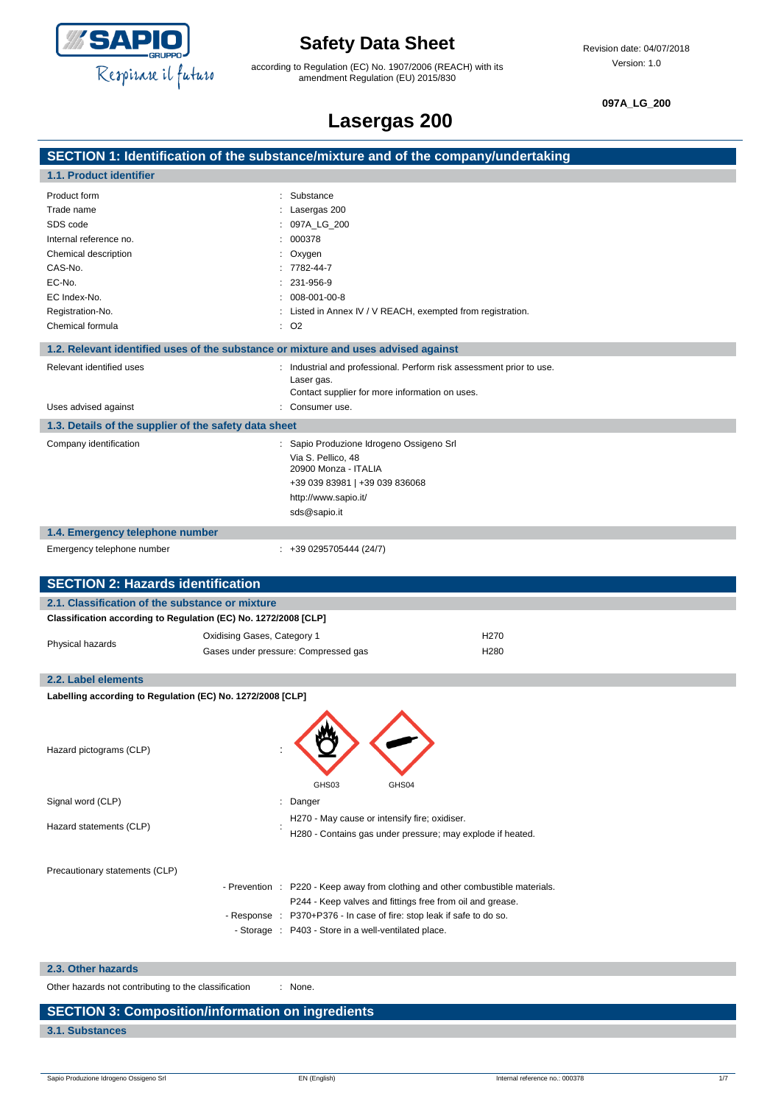

according to Regulation (EC) No. 1907/2006 (REACH) with its amendment Regulation (EU) 2015/830

**097A\_LG\_200**

### **Lasergas 200**

| Lasergas 200                                                    |                                                                                    |  |  |  |
|-----------------------------------------------------------------|------------------------------------------------------------------------------------|--|--|--|
|                                                                 | SECTION 1: Identification of the substance/mixture and of the company/undertaking  |  |  |  |
| 1.1. Product identifier                                         |                                                                                    |  |  |  |
| Product form                                                    | : Substance                                                                        |  |  |  |
| Trade name                                                      | Lasergas 200                                                                       |  |  |  |
| SDS code                                                        | 097A_LG_200                                                                        |  |  |  |
| Internal reference no.                                          | 000378                                                                             |  |  |  |
| Chemical description                                            | Oxygen                                                                             |  |  |  |
| CAS-No.                                                         | 7782-44-7                                                                          |  |  |  |
| EC-No.                                                          | 231-956-9                                                                          |  |  |  |
| EC Index-No.                                                    | 008-001-00-8                                                                       |  |  |  |
| Registration-No.                                                | Listed in Annex IV / V REACH, exempted from registration.                          |  |  |  |
| Chemical formula                                                | $\therefore$ O <sub>2</sub>                                                        |  |  |  |
|                                                                 | 1.2. Relevant identified uses of the substance or mixture and uses advised against |  |  |  |
| Relevant identified uses                                        | : Industrial and professional. Perform risk assessment prior to use.               |  |  |  |
|                                                                 | Laser gas.<br>Contact supplier for more information on uses.                       |  |  |  |
| Uses advised against                                            | Consumer use.                                                                      |  |  |  |
|                                                                 |                                                                                    |  |  |  |
| 1.3. Details of the supplier of the safety data sheet           |                                                                                    |  |  |  |
| Company identification                                          | : Sapio Produzione Idrogeno Ossigeno Srl                                           |  |  |  |
|                                                                 | Via S. Pellico, 48<br>20900 Monza - ITALIA                                         |  |  |  |
|                                                                 | +39 039 83981   +39 039 836068                                                     |  |  |  |
|                                                                 | http://www.sapio.it/                                                               |  |  |  |
|                                                                 | sds@sapio.it                                                                       |  |  |  |
| 1.4. Emergency telephone number                                 |                                                                                    |  |  |  |
| Emergency telephone number                                      | $: +390295705444(24/7)$                                                            |  |  |  |
|                                                                 |                                                                                    |  |  |  |
| <b>SECTION 2: Hazards identification</b>                        |                                                                                    |  |  |  |
| 2.1. Classification of the substance or mixture                 |                                                                                    |  |  |  |
| Classification according to Regulation (EC) No. 1272/2008 [CLP] |                                                                                    |  |  |  |
|                                                                 | Oxidising Gases, Category 1<br>H <sub>270</sub>                                    |  |  |  |
| Physical hazards                                                | Gases under pressure: Compressed gas<br>H <sub>280</sub>                           |  |  |  |
|                                                                 |                                                                                    |  |  |  |
| 2.2. Label elements                                             |                                                                                    |  |  |  |
| Labelling according to Regulation (EC) No. 1272/2008 [CLP]      |                                                                                    |  |  |  |
|                                                                 |                                                                                    |  |  |  |
|                                                                 |                                                                                    |  |  |  |
| Hazard pictograms (CLP)                                         |                                                                                    |  |  |  |
|                                                                 |                                                                                    |  |  |  |
|                                                                 | GHS03<br>GHS04                                                                     |  |  |  |
|                                                                 |                                                                                    |  |  |  |
| Signal word (CLP)                                               | : Danger                                                                           |  |  |  |
| Hazard statements (CLP)                                         | H270 - May cause or intensify fire; oxidiser.                                      |  |  |  |
|                                                                 | H280 - Contains gas under pressure; may explode if heated.                         |  |  |  |
|                                                                 |                                                                                    |  |  |  |
| Precautionary statements (CLP)                                  |                                                                                    |  |  |  |
|                                                                 | - Prevention : P220 - Keep away from clothing and other combustible materials.     |  |  |  |
|                                                                 | P244 - Keep valves and fittings free from oil and grease.                          |  |  |  |
|                                                                 | - Response : P370+P376 - In case of fire: stop leak if safe to do so.              |  |  |  |
|                                                                 | - Storage : P403 - Store in a well-ventilated place.                               |  |  |  |
|                                                                 |                                                                                    |  |  |  |
| 2.3. Other hazards                                              |                                                                                    |  |  |  |
|                                                                 |                                                                                    |  |  |  |

Other hazards not contributing to the classification : None.

### **SECTION 3: Composition/information on ingredients**

**3.1. Substances**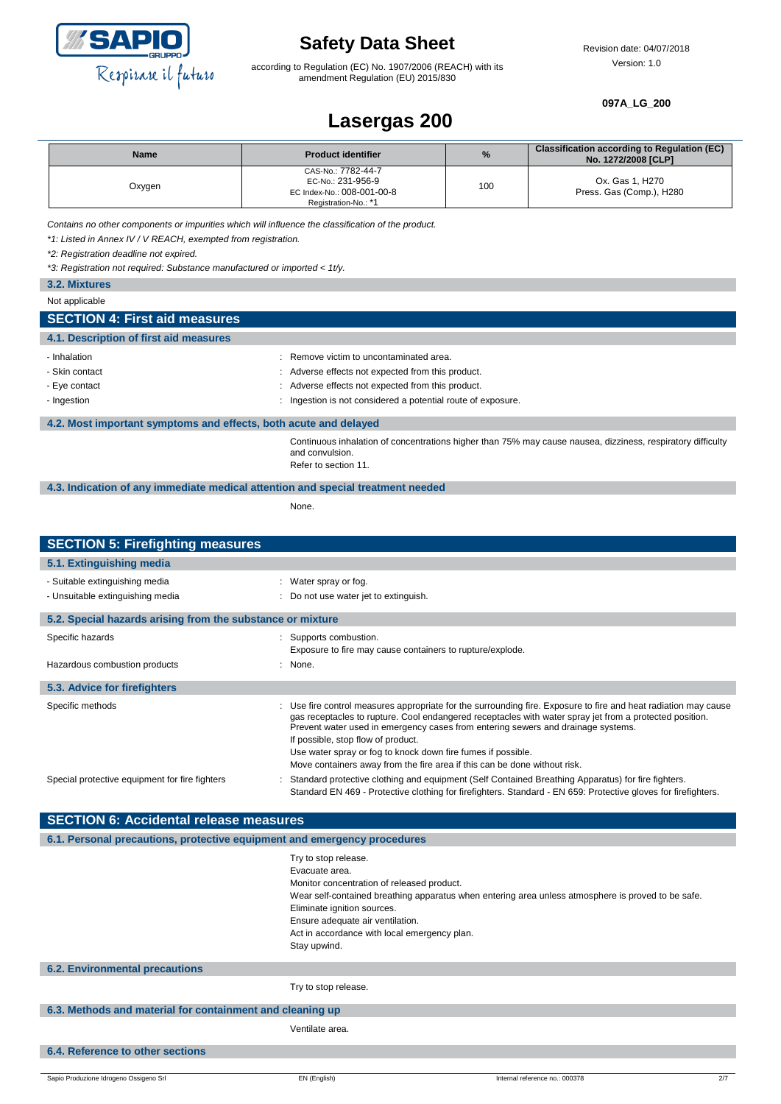

according to Regulation (EC) No. 1907/2006 (REACH) with its amendment Regulation (EU) 2015/830

#### **097A\_LG\_200**

### **Lasergas 200**

| <b>Name</b> | <b>Product identifier</b>                                                                     | %   | <b>Classification according to Regulation (EC)</b><br>No. 1272/2008 [CLP] |
|-------------|-----------------------------------------------------------------------------------------------|-----|---------------------------------------------------------------------------|
| Oxygen      | CAS-No.: 7782-44-7<br>EC-No.: 231-956-9<br>EC Index-No.: 008-001-00-8<br>Registration-No.: *1 | 100 | Ox. Gas 1, H270<br>Press. Gas (Comp.), H280                               |

*Contains no other components or impurities which will influence the classification of the product.*

*\*1: Listed in Annex IV / V REACH, exempted from registration.*

*\*2: Registration deadline not expired.*

*\*3: Registration not required: Substance manufactured or imported < 1t/y.*

| 3.2. Mixtures                                                                   |                                                                                                                                                        |  |
|---------------------------------------------------------------------------------|--------------------------------------------------------------------------------------------------------------------------------------------------------|--|
| Not applicable                                                                  |                                                                                                                                                        |  |
| <b>SECTION 4: First aid measures</b>                                            |                                                                                                                                                        |  |
| 4.1. Description of first aid measures                                          |                                                                                                                                                        |  |
| - Inhalation                                                                    | : Remove victim to uncontaminated area.                                                                                                                |  |
| - Skin contact                                                                  | : Adverse effects not expected from this product.                                                                                                      |  |
| - Eye contact                                                                   | : Adverse effects not expected from this product.                                                                                                      |  |
| - Ingestion                                                                     | : Ingestion is not considered a potential route of exposure.                                                                                           |  |
| 4.2. Most important symptoms and effects, both acute and delayed                |                                                                                                                                                        |  |
|                                                                                 | Continuous inhalation of concentrations higher than 75% may cause nausea, dizziness, respiratory difficulty<br>and convulsion.<br>Refer to section 11. |  |
| 4.3. Indication of any immediate medical attention and special treatment needed |                                                                                                                                                        |  |
|                                                                                 | None.                                                                                                                                                  |  |
|                                                                                 |                                                                                                                                                        |  |
| <b>SECTION 5: Firefighting measures</b>                                         |                                                                                                                                                        |  |
| 5.1. Extinguishing media                                                        |                                                                                                                                                        |  |

| <u>o. anniguioning modia</u>                                       |                                                                                                                                                                                                                                                                                                                                                      |
|--------------------------------------------------------------------|------------------------------------------------------------------------------------------------------------------------------------------------------------------------------------------------------------------------------------------------------------------------------------------------------------------------------------------------------|
| - Suitable extinguishing media<br>- Unsuitable extinguishing media | : Water spray or fog.<br>: Do not use water jet to extinguish.                                                                                                                                                                                                                                                                                       |
| 5.2. Special hazards arising from the substance or mixture         |                                                                                                                                                                                                                                                                                                                                                      |
| Specific hazards                                                   | : Supports combustion.<br>Exposure to fire may cause containers to rupture/explode.                                                                                                                                                                                                                                                                  |
| Hazardous combustion products                                      | : None.                                                                                                                                                                                                                                                                                                                                              |
| 5.3. Advice for firefighters                                       |                                                                                                                                                                                                                                                                                                                                                      |
| Specific methods                                                   | : Use fire control measures appropriate for the surrounding fire. Exposure to fire and heat radiation may cause<br>gas receptacles to rupture. Cool endangered receptacles with water spray jet from a protected position.<br>Prevent water used in emergency cases from entering sewers and drainage systems.<br>If possible, stop flow of product. |
|                                                                    | Use water spray or fog to knock down fire fumes if possible.<br>Move containers away from the fire area if this can be done without risk.                                                                                                                                                                                                            |
| Special protective equipment for fire fighters                     | Standard protective clothing and equipment (Self Contained Breathing Apparatus) for fire fighters.<br>Standard EN 469 - Protective clothing for firefighters. Standard - EN 659: Protective gloves for firefighters.                                                                                                                                 |

| <b>SECTION 6: Accidental release measures</b>                            |                                                                                                                                                                                                                         |                                                                                                    |     |
|--------------------------------------------------------------------------|-------------------------------------------------------------------------------------------------------------------------------------------------------------------------------------------------------------------------|----------------------------------------------------------------------------------------------------|-----|
| 6.1. Personal precautions, protective equipment and emergency procedures |                                                                                                                                                                                                                         |                                                                                                    |     |
|                                                                          | Try to stop release.<br>Evacuate area.<br>Monitor concentration of released product.<br>Eliminate ignition sources.<br>Ensure adequate air ventilation.<br>Act in accordance with local emergency plan.<br>Stay upwind. | Wear self-contained breathing apparatus when entering area unless atmosphere is proved to be safe. |     |
| <b>6.2. Environmental precautions</b>                                    |                                                                                                                                                                                                                         |                                                                                                    |     |
|                                                                          | Try to stop release.                                                                                                                                                                                                    |                                                                                                    |     |
| 6.3. Methods and material for containment and cleaning up                |                                                                                                                                                                                                                         |                                                                                                    |     |
|                                                                          | Ventilate area.                                                                                                                                                                                                         |                                                                                                    |     |
| 6.4. Reference to other sections                                         |                                                                                                                                                                                                                         |                                                                                                    |     |
|                                                                          |                                                                                                                                                                                                                         |                                                                                                    |     |
| Sapio Produzione Idrogeno Ossigeno Srl                                   | EN (English)                                                                                                                                                                                                            | Internal reference no.: 000378                                                                     | 2/7 |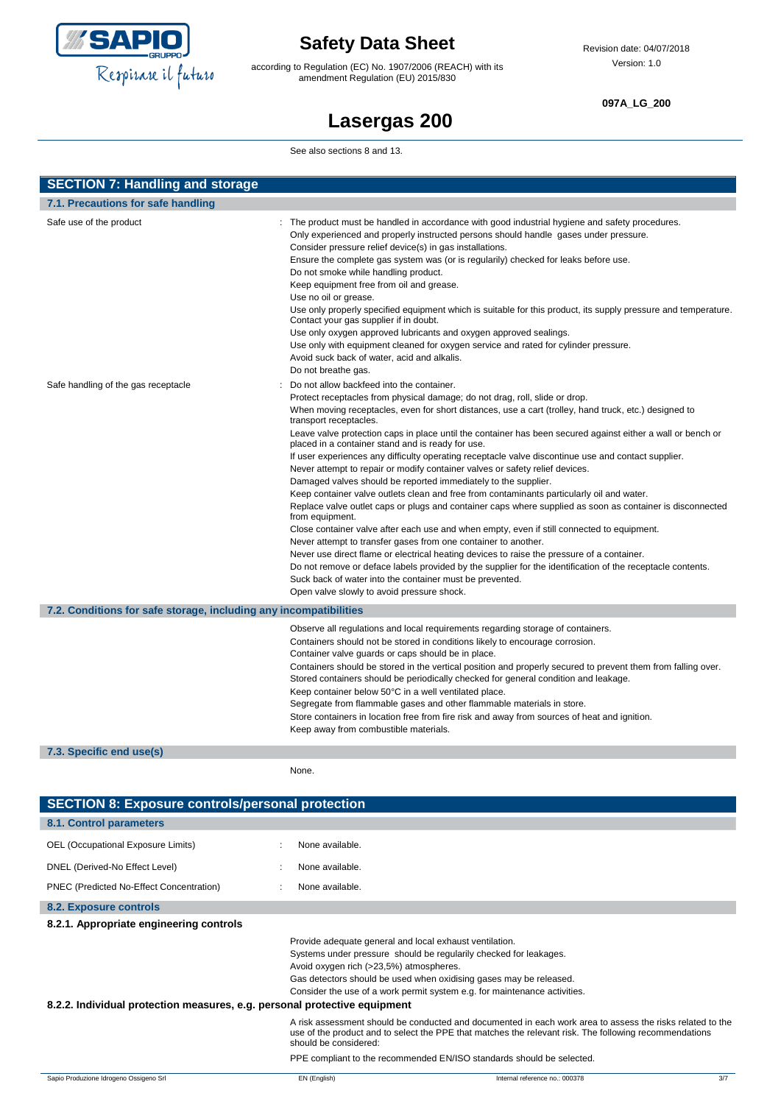

according to Regulation (EC) No. 1907/2006 (REACH) with its amendment Regulation (EU) 2015/830

#### **097A\_LG\_200**

## **Lasergas 200**

See also sections 8 and 13.

| <b>SECTION 7: Handling and storage</b>                            |                                                                                                                                                                                                                                                                                                                                                                                                                                                                                                                                                                                                                                                                                                                                                                                                                                                                                                                                                                                                                                                                                                                                                                                                                                                                                                                                                                                                             |
|-------------------------------------------------------------------|-------------------------------------------------------------------------------------------------------------------------------------------------------------------------------------------------------------------------------------------------------------------------------------------------------------------------------------------------------------------------------------------------------------------------------------------------------------------------------------------------------------------------------------------------------------------------------------------------------------------------------------------------------------------------------------------------------------------------------------------------------------------------------------------------------------------------------------------------------------------------------------------------------------------------------------------------------------------------------------------------------------------------------------------------------------------------------------------------------------------------------------------------------------------------------------------------------------------------------------------------------------------------------------------------------------------------------------------------------------------------------------------------------------|
| 7.1. Precautions for safe handling                                |                                                                                                                                                                                                                                                                                                                                                                                                                                                                                                                                                                                                                                                                                                                                                                                                                                                                                                                                                                                                                                                                                                                                                                                                                                                                                                                                                                                                             |
| Safe use of the product                                           | : The product must be handled in accordance with good industrial hygiene and safety procedures.<br>Only experienced and properly instructed persons should handle gases under pressure.<br>Consider pressure relief device(s) in gas installations.<br>Ensure the complete gas system was (or is regularily) checked for leaks before use.<br>Do not smoke while handling product.<br>Keep equipment free from oil and grease.<br>Use no oil or grease.<br>Use only properly specified equipment which is suitable for this product, its supply pressure and temperature.<br>Contact your gas supplier if in doubt.<br>Use only oxygen approved lubricants and oxygen approved sealings.<br>Use only with equipment cleaned for oxygen service and rated for cylinder pressure.<br>Avoid suck back of water, acid and alkalis.<br>Do not breathe gas.                                                                                                                                                                                                                                                                                                                                                                                                                                                                                                                                                       |
| Safe handling of the gas receptacle                               | Do not allow backfeed into the container.<br>Protect receptacles from physical damage; do not drag, roll, slide or drop.<br>When moving receptacles, even for short distances, use a cart (trolley, hand truck, etc.) designed to<br>transport receptacles.<br>Leave valve protection caps in place until the container has been secured against either a wall or bench or<br>placed in a container stand and is ready for use.<br>If user experiences any difficulty operating receptacle valve discontinue use and contact supplier.<br>Never attempt to repair or modify container valves or safety relief devices.<br>Damaged valves should be reported immediately to the supplier.<br>Keep container valve outlets clean and free from contaminants particularly oil and water.<br>Replace valve outlet caps or plugs and container caps where supplied as soon as container is disconnected<br>from equipment.<br>Close container valve after each use and when empty, even if still connected to equipment.<br>Never attempt to transfer gases from one container to another.<br>Never use direct flame or electrical heating devices to raise the pressure of a container.<br>Do not remove or deface labels provided by the supplier for the identification of the receptacle contents.<br>Suck back of water into the container must be prevented.<br>Open valve slowly to avoid pressure shock. |
| 7.2. Conditions for safe storage, including any incompatibilities |                                                                                                                                                                                                                                                                                                                                                                                                                                                                                                                                                                                                                                                                                                                                                                                                                                                                                                                                                                                                                                                                                                                                                                                                                                                                                                                                                                                                             |
|                                                                   | Observe all regulations and local requirements regarding storage of containers.<br>Containers should not be stored in conditions likely to encourage corrosion.<br>Container valve guards or caps should be in place.<br>Containers should be stored in the vertical position and properly secured to prevent them from falling over.<br>Stored containers should be periodically checked for general condition and leakage.<br>Keep container below 50°C in a well ventilated place.<br>Segregate from flammable gases and other flammable materials in store.<br>Store containers in location free from fire risk and away from sources of heat and ignition.<br>Keep away from combustible materials.                                                                                                                                                                                                                                                                                                                                                                                                                                                                                                                                                                                                                                                                                                    |
| 7.3. Specific end use(s)                                          |                                                                                                                                                                                                                                                                                                                                                                                                                                                                                                                                                                                                                                                                                                                                                                                                                                                                                                                                                                                                                                                                                                                                                                                                                                                                                                                                                                                                             |
|                                                                   | None.                                                                                                                                                                                                                                                                                                                                                                                                                                                                                                                                                                                                                                                                                                                                                                                                                                                                                                                                                                                                                                                                                                                                                                                                                                                                                                                                                                                                       |
| <b>SECTION 8: Exposure controls/personal protection</b>           |                                                                                                                                                                                                                                                                                                                                                                                                                                                                                                                                                                                                                                                                                                                                                                                                                                                                                                                                                                                                                                                                                                                                                                                                                                                                                                                                                                                                             |
| 8.1. Control parameters                                           |                                                                                                                                                                                                                                                                                                                                                                                                                                                                                                                                                                                                                                                                                                                                                                                                                                                                                                                                                                                                                                                                                                                                                                                                                                                                                                                                                                                                             |

| 8.1. Control parameters                                                   |                                                                                                    |                                                                                                                                                                                                                      |     |
|---------------------------------------------------------------------------|----------------------------------------------------------------------------------------------------|----------------------------------------------------------------------------------------------------------------------------------------------------------------------------------------------------------------------|-----|
| OEL (Occupational Exposure Limits)                                        | None available.                                                                                    |                                                                                                                                                                                                                      |     |
| DNEL (Derived-No Effect Level)                                            | None available.                                                                                    |                                                                                                                                                                                                                      |     |
| PNEC (Predicted No-Effect Concentration)                                  | None available.                                                                                    |                                                                                                                                                                                                                      |     |
| 8.2. Exposure controls                                                    |                                                                                                    |                                                                                                                                                                                                                      |     |
| 8.2.1. Appropriate engineering controls                                   |                                                                                                    |                                                                                                                                                                                                                      |     |
| 8.2.2. Individual protection measures, e.g. personal protective equipment | Provide adequate general and local exhaust ventilation.<br>Avoid oxygen rich (>23,5%) atmospheres. | Systems under pressure should be regularily checked for leakages.<br>Gas detectors should be used when oxidising gases may be released.<br>Consider the use of a work permit system e.g. for maintenance activities. |     |
|                                                                           | should be considered:                                                                              | A risk assessment should be conducted and documented in each work area to assess the risks related to the<br>use of the product and to select the PPE that matches the relevant risk. The following recommendations  |     |
|                                                                           |                                                                                                    | PPE compliant to the recommended EN/ISO standards should be selected.                                                                                                                                                |     |
| Sapio Produzione Idrogeno Ossigeno Srl                                    | EN (English)                                                                                       | Internal reference no.: 000378                                                                                                                                                                                       | 3/7 |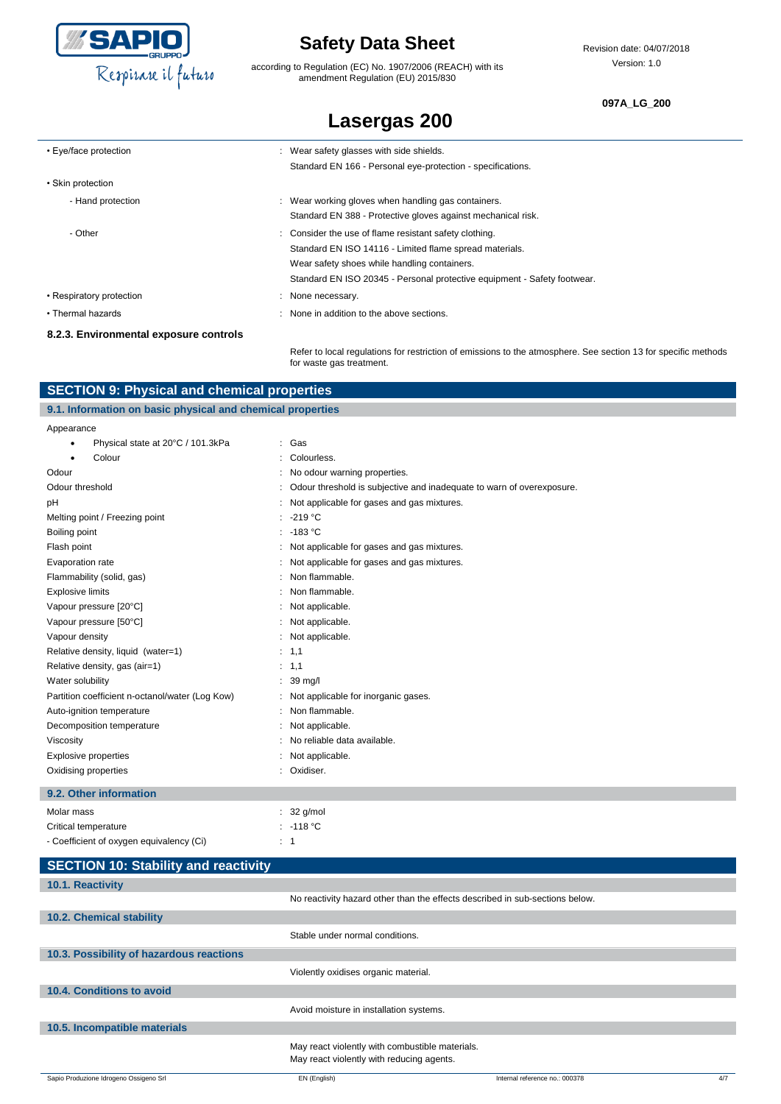

according to Regulation (EC) No. 1907/2006 (REACH) with its amendment Regulation (EU) 2015/830

#### **097A\_LG\_200**

| <b>Lasergas 200</b> |  |  |  |
|---------------------|--|--|--|
|---------------------|--|--|--|

| • Eye/face protection                  | : Wear safety glasses with side shields.                                 |
|----------------------------------------|--------------------------------------------------------------------------|
|                                        | Standard EN 166 - Personal eye-protection - specifications.              |
| • Skin protection                      |                                                                          |
| - Hand protection                      | : Wear working gloves when handling gas containers.                      |
|                                        | Standard EN 388 - Protective gloves against mechanical risk.             |
| - Other                                | : Consider the use of flame resistant safety clothing.                   |
|                                        | Standard EN ISO 14116 - Limited flame spread materials.                  |
|                                        | Wear safety shoes while handling containers.                             |
|                                        | Standard EN ISO 20345 - Personal protective equipment - Safety footwear. |
| • Respiratory protection               | : None necessary.                                                        |
| • Thermal hazards                      | : None in addition to the above sections.                                |
| 8.2.3. Environmental exposure controls |                                                                          |
|                                        |                                                                          |

Refer to local regulations for restriction of emissions to the atmosphere. See section 13 for specific methods for waste gas treatment.

| <b>SECTION 9: Physical and chemical properties</b>         |                                                                       |  |  |
|------------------------------------------------------------|-----------------------------------------------------------------------|--|--|
| 9.1. Information on basic physical and chemical properties |                                                                       |  |  |
| Appearance                                                 |                                                                       |  |  |
| Physical state at 20°C / 101.3kPa<br>٠                     | : Gas                                                                 |  |  |
| Colour                                                     | Colourless.                                                           |  |  |
| Odour                                                      | No odour warning properties.                                          |  |  |
| Odour threshold                                            | Odour threshold is subjective and inadequate to warn of overexposure. |  |  |
| pH                                                         | Not applicable for gases and gas mixtures.                            |  |  |
| Melting point / Freezing point                             | $-219 °C$                                                             |  |  |
| Boiling point                                              | $-183$ °C                                                             |  |  |
| Flash point                                                | Not applicable for gases and gas mixtures.                            |  |  |
| Evaporation rate                                           | Not applicable for gases and gas mixtures.                            |  |  |
| Flammability (solid, gas)                                  | Non flammable.                                                        |  |  |
| <b>Explosive limits</b>                                    | Non flammable.                                                        |  |  |
| Vapour pressure [20°C]                                     | Not applicable.                                                       |  |  |
| Vapour pressure [50°C]                                     | Not applicable.                                                       |  |  |
| Vapour density                                             | Not applicable.                                                       |  |  |
| Relative density, liquid (water=1)                         | : 1,1                                                                 |  |  |
| Relative density, gas (air=1)                              | : 1,1                                                                 |  |  |
| Water solubility                                           | $: 39 \text{ mq/l}$                                                   |  |  |
| Partition coefficient n-octanol/water (Log Kow)            | Not applicable for inorganic gases.                                   |  |  |
| Auto-ignition temperature                                  | Non flammable.                                                        |  |  |
| Decomposition temperature                                  | Not applicable.                                                       |  |  |
| Viscosity                                                  | No reliable data available.                                           |  |  |
| <b>Explosive properties</b>                                | Not applicable.                                                       |  |  |
| Oxidising properties                                       | Oxidiser.                                                             |  |  |
|                                                            |                                                                       |  |  |

#### **9.2. Other information**

| Molar mass                               |     | $: 32$ g/mol |
|------------------------------------------|-----|--------------|
| Critical temperature                     |     | : -118 °C    |
| - Coefficient of oxygen equivalency (Ci) | ۰ 1 |              |

| <b>SECTION 10: Stability and reactivity</b> |                                                                                              |                                |     |
|---------------------------------------------|----------------------------------------------------------------------------------------------|--------------------------------|-----|
| 10.1. Reactivity                            |                                                                                              |                                |     |
|                                             | No reactivity hazard other than the effects described in sub-sections below.                 |                                |     |
| 10.2. Chemical stability                    |                                                                                              |                                |     |
|                                             | Stable under normal conditions.                                                              |                                |     |
| 10.3. Possibility of hazardous reactions    |                                                                                              |                                |     |
|                                             | Violently oxidises organic material.                                                         |                                |     |
| 10.4. Conditions to avoid                   |                                                                                              |                                |     |
|                                             | Avoid moisture in installation systems.                                                      |                                |     |
| 10.5. Incompatible materials                |                                                                                              |                                |     |
|                                             | May react violently with combustible materials.<br>May react violently with reducing agents. |                                |     |
| Sapio Produzione Idrogeno Ossigeno Srl      | EN (English)                                                                                 | Internal reference no.: 000378 | 4/7 |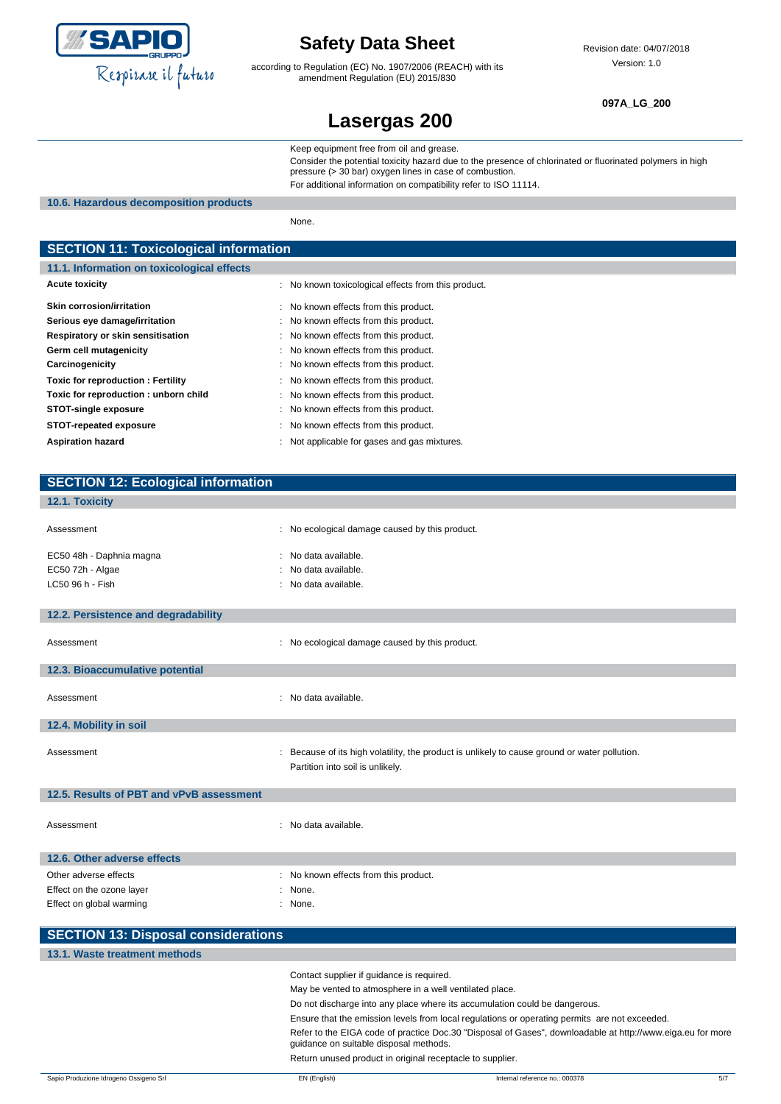

according to Regulation (EC) No. 1907/2006 (REACH) with its amendment Regulation (EU) 2015/830

Revision date: 04/07/2018 Version: 1.0

**097A\_LG\_200**

### **Lasergas 200**

Keep equipment free from oil and grease.

Consider the potential toxicity hazard due to the presence of chlorinated or fluorinated polymers in high pressure (> 30 bar) oxygen lines in case of combustion. For additional information on compatibility refer to ISO 11114.

**10.6. Hazardous decomposition products**

None.

### **SECTION 11: Toxicological information 11.1. Information on toxicological effects** Acute toxicity **Acute is a structure of the CO** in No known toxicological effects from this product. Skin corrosion/irritation **Skin corrosion/irritation** : No known effects from this product. **Serious eye damage/irritation** : No known effects from this product.

| Respiratory or skin sensitisation    | : No known effects from this product.        |
|--------------------------------------|----------------------------------------------|
| Germ cell mutagenicity               | : No known effects from this product.        |
| Carcinogenicity                      | : No known effects from this product.        |
| Toxic for reproduction: Fertility    | : No known effects from this product.        |
| Toxic for reproduction: unborn child | : No known effects from this product.        |
| <b>STOT-single exposure</b>          | : No known effects from this product.        |
| <b>STOT-repeated exposure</b>        | : No known effects from this product.        |
| <b>Aspiration hazard</b>             | : Not applicable for gases and gas mixtures. |

#### **12.1. Toxicity**

| Assessment                                                                     | : No ecological damage caused by this product.                                                                                    |
|--------------------------------------------------------------------------------|-----------------------------------------------------------------------------------------------------------------------------------|
| EC50 48h - Daphnia magna<br>EC50 72h - Algae<br>LC50 96 h - Fish               | : No data available.<br>: No data available.<br>: No data available.                                                              |
| 12.2. Persistence and degradability                                            |                                                                                                                                   |
| Assessment                                                                     | : No ecological damage caused by this product.                                                                                    |
| 12.3. Bioaccumulative potential                                                |                                                                                                                                   |
| Assessment                                                                     | : No data available.                                                                                                              |
| 12.4. Mobility in soil                                                         |                                                                                                                                   |
| Assessment                                                                     | : Because of its high volatility, the product is unlikely to cause ground or water pollution.<br>Partition into soil is unlikely. |
| 12.5. Results of PBT and vPvB assessment                                       |                                                                                                                                   |
| Assessment                                                                     | : No data available.                                                                                                              |
| 12.6. Other adverse effects                                                    |                                                                                                                                   |
| Other adverse effects<br>Effect on the ozone layer<br>Effect on global warming | : No known effects from this product.<br>: None.<br>: None.                                                                       |

| <b>SECTION 13: Disposal considerations</b> |                                                                                                                                                      |
|--------------------------------------------|------------------------------------------------------------------------------------------------------------------------------------------------------|
| 13.1. Waste treatment methods              |                                                                                                                                                      |
|                                            | Contact supplier if quidance is required.                                                                                                            |
|                                            | May be vented to atmosphere in a well ventilated place.                                                                                              |
|                                            | Do not discharge into any place where its accumulation could be dangerous.                                                                           |
|                                            | Ensure that the emission levels from local regulations or operating permits are not exceeded.                                                        |
|                                            | Refer to the EIGA code of practice Doc.30 "Disposal of Gases", downloadable at http://www.eiga.eu for more<br>quidance on suitable disposal methods. |
|                                            | Return unused product in original receptacle to supplier.                                                                                            |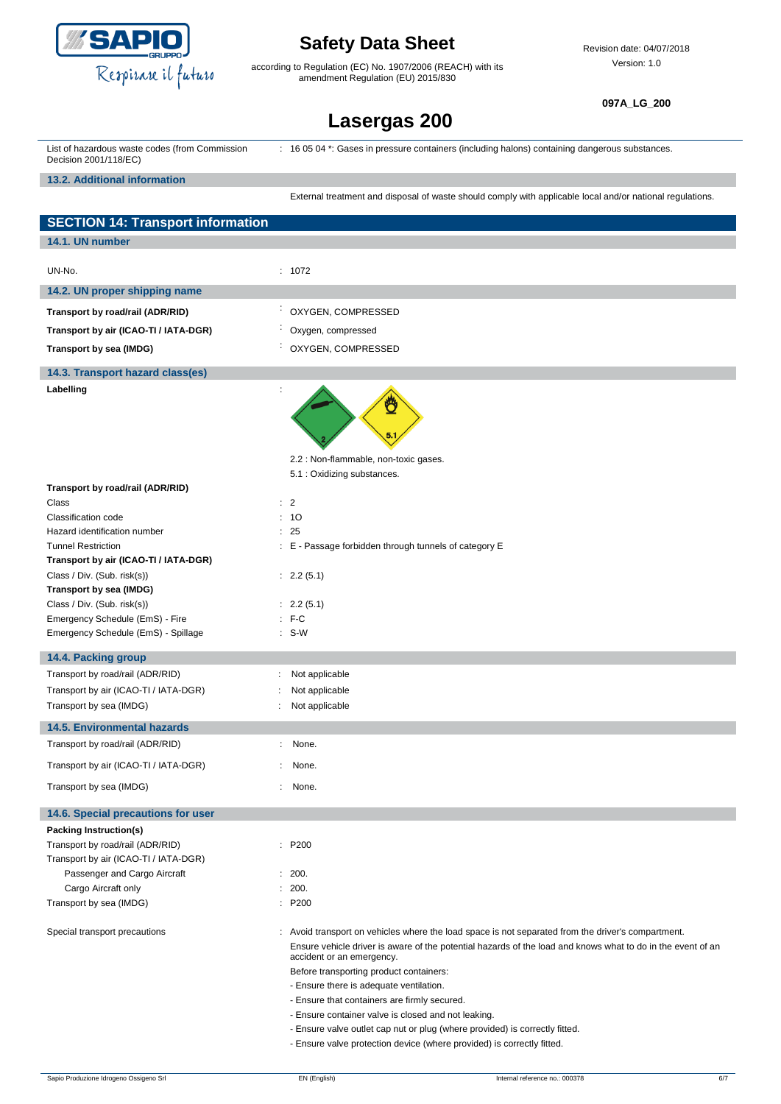

according to Regulation (EC) No. 1907/2006 (REACH) with its amendment Regulation (EU) 2015/830

Revision date: 04/07/2018 Version: 1.0

**097A\_LG\_200**

# **Lasergas 200**

| . 16 05 04 *: Gases in pressure containers (including halons) containing dangerous substances.<br>List of hazardous waste codes (from Commission<br>Decision 2001/118/EC) |  |  |
|---------------------------------------------------------------------------------------------------------------------------------------------------------------------------|--|--|
|---------------------------------------------------------------------------------------------------------------------------------------------------------------------------|--|--|

**13.2. Additional information**

External treatment and disposal of waste should comply with applicable local and/or national regulations.

| <b>SECTION 14: Transport information</b>                   |                                                                                                                                                                                                                                                                                                                                                                                                                                                                                                                            |
|------------------------------------------------------------|----------------------------------------------------------------------------------------------------------------------------------------------------------------------------------------------------------------------------------------------------------------------------------------------------------------------------------------------------------------------------------------------------------------------------------------------------------------------------------------------------------------------------|
| 14.1. UN number                                            |                                                                                                                                                                                                                                                                                                                                                                                                                                                                                                                            |
|                                                            |                                                                                                                                                                                                                                                                                                                                                                                                                                                                                                                            |
| UN-No.                                                     | : 1072                                                                                                                                                                                                                                                                                                                                                                                                                                                                                                                     |
| 14.2. UN proper shipping name                              |                                                                                                                                                                                                                                                                                                                                                                                                                                                                                                                            |
| Transport by road/rail (ADR/RID)                           | ÷<br>OXYGEN, COMPRESSED                                                                                                                                                                                                                                                                                                                                                                                                                                                                                                    |
| Transport by air (ICAO-TI / IATA-DGR)                      | Oxygen, compressed                                                                                                                                                                                                                                                                                                                                                                                                                                                                                                         |
| Transport by sea (IMDG)                                    | : OXYGEN, COMPRESSED                                                                                                                                                                                                                                                                                                                                                                                                                                                                                                       |
|                                                            |                                                                                                                                                                                                                                                                                                                                                                                                                                                                                                                            |
| 14.3. Transport hazard class(es)                           |                                                                                                                                                                                                                                                                                                                                                                                                                                                                                                                            |
| Labelling                                                  | Ö                                                                                                                                                                                                                                                                                                                                                                                                                                                                                                                          |
|                                                            | 2.2 : Non-flammable, non-toxic gases.                                                                                                                                                                                                                                                                                                                                                                                                                                                                                      |
| Transport by road/rail (ADR/RID)                           | 5.1 : Oxidizing substances.                                                                                                                                                                                                                                                                                                                                                                                                                                                                                                |
| Class                                                      | : 2                                                                                                                                                                                                                                                                                                                                                                                                                                                                                                                        |
| Classification code                                        | : 10                                                                                                                                                                                                                                                                                                                                                                                                                                                                                                                       |
| Hazard identification number                               | : 25                                                                                                                                                                                                                                                                                                                                                                                                                                                                                                                       |
| <b>Tunnel Restriction</b>                                  | : E - Passage forbidden through tunnels of category E                                                                                                                                                                                                                                                                                                                                                                                                                                                                      |
| Transport by air (ICAO-TI / IATA-DGR)                      |                                                                                                                                                                                                                                                                                                                                                                                                                                                                                                                            |
| Class / Div. (Sub. risk(s))                                | : 2.2(5.1)                                                                                                                                                                                                                                                                                                                                                                                                                                                                                                                 |
| Transport by sea (IMDG)<br>Class / Div. (Sub. risk(s))     |                                                                                                                                                                                                                                                                                                                                                                                                                                                                                                                            |
| Emergency Schedule (EmS) - Fire                            | : 2.2(5.1)<br>$: F-C$                                                                                                                                                                                                                                                                                                                                                                                                                                                                                                      |
| Emergency Schedule (EmS) - Spillage                        | $: S-W$                                                                                                                                                                                                                                                                                                                                                                                                                                                                                                                    |
|                                                            |                                                                                                                                                                                                                                                                                                                                                                                                                                                                                                                            |
| 14.4. Packing group                                        |                                                                                                                                                                                                                                                                                                                                                                                                                                                                                                                            |
| Transport by road/rail (ADR/RID)                           | Not applicable                                                                                                                                                                                                                                                                                                                                                                                                                                                                                                             |
| Transport by air (ICAO-TI / IATA-DGR)                      | Not applicable                                                                                                                                                                                                                                                                                                                                                                                                                                                                                                             |
| Transport by sea (IMDG)                                    | Not applicable                                                                                                                                                                                                                                                                                                                                                                                                                                                                                                             |
| <b>14.5. Environmental hazards</b>                         |                                                                                                                                                                                                                                                                                                                                                                                                                                                                                                                            |
| Transport by road/rail (ADR/RID)                           | None.<br>÷                                                                                                                                                                                                                                                                                                                                                                                                                                                                                                                 |
| Transport by air (ICAO-TI / IATA-DGR)                      | None.                                                                                                                                                                                                                                                                                                                                                                                                                                                                                                                      |
| Transport by sea (IMDG)                                    | None.                                                                                                                                                                                                                                                                                                                                                                                                                                                                                                                      |
|                                                            |                                                                                                                                                                                                                                                                                                                                                                                                                                                                                                                            |
| 14.6. Special precautions for user                         |                                                                                                                                                                                                                                                                                                                                                                                                                                                                                                                            |
| Packing Instruction(s)<br>Transport by road/rail (ADR/RID) | : P200                                                                                                                                                                                                                                                                                                                                                                                                                                                                                                                     |
| Transport by air (ICAO-TI / IATA-DGR)                      |                                                                                                                                                                                                                                                                                                                                                                                                                                                                                                                            |
| Passenger and Cargo Aircraft                               | : 200.                                                                                                                                                                                                                                                                                                                                                                                                                                                                                                                     |
| Cargo Aircraft only                                        | : 200.                                                                                                                                                                                                                                                                                                                                                                                                                                                                                                                     |
| Transport by sea (IMDG)                                    | : P200                                                                                                                                                                                                                                                                                                                                                                                                                                                                                                                     |
| Special transport precautions                              | : Avoid transport on vehicles where the load space is not separated from the driver's compartment.<br>Ensure vehicle driver is aware of the potential hazards of the load and knows what to do in the event of an<br>accident or an emergency.<br>Before transporting product containers:<br>- Ensure there is adequate ventilation.<br>- Ensure that containers are firmly secured.<br>- Ensure container valve is closed and not leaking.<br>- Ensure valve outlet cap nut or plug (where provided) is correctly fitted. |
|                                                            | - Ensure valve protection device (where provided) is correctly fitted.                                                                                                                                                                                                                                                                                                                                                                                                                                                     |